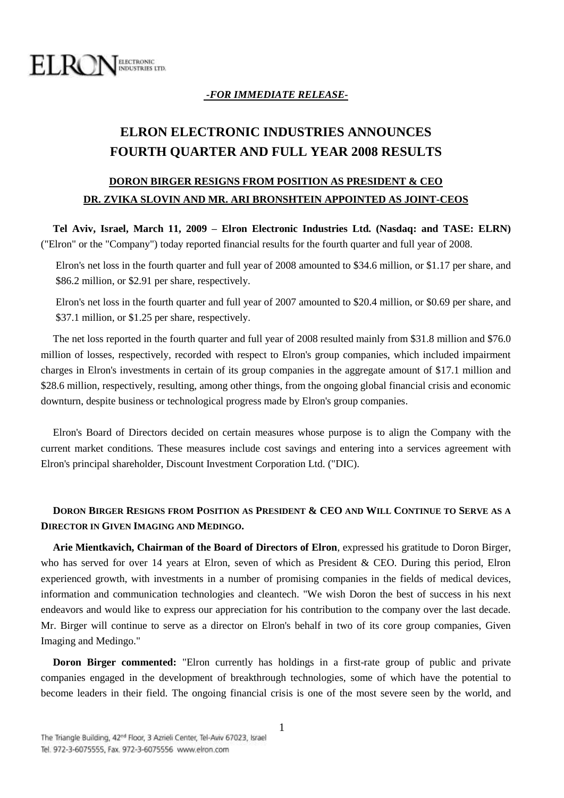

## *-FOR IMMEDIATE RELEASE-*

# **ELRON ELECTRONIC INDUSTRIES ANNOUNCES FOURTH QUARTER AND FULL YEAR 2008 RESULTS**

## **DORON BIRGER RESIGNS FROM POSITION AS PRESIDENT & CEO DR. ZVIKA SLOVIN AND MR. ARI BRONSHTEIN APPOINTED AS JOINT-CEOS**

**Tel Aviv, Israel, March 11, 2009 – Elron Electronic Industries Ltd. (Nasdaq: and TASE: ELRN)** ("Elron" or the "Company") today reported financial results for the fourth quarter and full year of 2008.

Elron's net loss in the fourth quarter and full year of 2008 amounted to \$34.6 million, or \$1.17 per share, and \$86.2 million, or \$2.91 per share, respectively.

Elron's net loss in the fourth quarter and full year of 2007 amounted to \$20.4 million, or \$0.69 per share, and \$37.1 million, or \$1.25 per share, respectively.

The net loss reported in the fourth quarter and full year of 2008 resulted mainly from \$31.8 million and \$76.0 million of losses, respectively, recorded with respect to Elron's group companies, which included impairment charges in Elron's investments in certain of its group companies in the aggregate amount of \$17.1 million and \$28.6 million, respectively, resulting, among other things, from the ongoing global financial crisis and economic downturn, despite business or technological progress made by Elron's group companies.

Elron's Board of Directors decided on certain measures whose purpose is to align the Company with the current market conditions. These measures include cost savings and entering into a services agreement with Elron's principal shareholder, Discount Investment Corporation Ltd. ("DIC).

## **DORON BIRGER RESIGNS FROM POSITION AS PRESIDENT & CEO AND WILL CONTINUE TO SERVE AS A DIRECTOR IN GIVEN IMAGING AND MEDINGO.**

**Arie Mientkavich, Chairman of the Board of Directors of Elron**, expressed his gratitude to Doron Birger, who has served for over 14 years at Elron, seven of which as President & CEO. During this period, Elron experienced growth, with investments in a number of promising companies in the fields of medical devices, information and communication technologies and cleantech. "We wish Doron the best of success in his next endeavors and would like to express our appreciation for his contribution to the company over the last decade. Mr. Birger will continue to serve as a director on Elron's behalf in two of its core group companies, Given Imaging and Medingo."

**Doron Birger commented:** "Elron currently has holdings in a first-rate group of public and private companies engaged in the development of breakthrough technologies, some of which have the potential to become leaders in their field. The ongoing financial crisis is one of the most severe seen by the world, and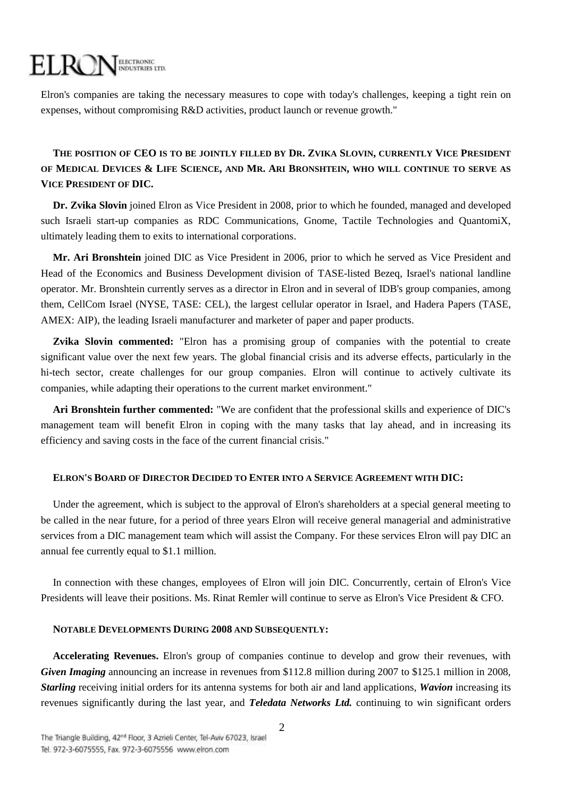## ELROI ELECTRONIC<br>INDUSTRIES LTD.

Elron's companies are taking the necessary measures to cope with today's challenges, keeping a tight rein on expenses, without compromising R&D activities, product launch or revenue growth."

## **THE POSITION OF CEO IS TO BE JOINTLY FILLED BY DR. ZVIKA SLOVIN, CURRENTLY VICE PRESIDENT**  OF MEDICAL DEVICES & LIFE SCIENCE, AND MR. ARI BRONSHTEIN, WHO WILL CONTINUE TO SERVE AS **VICE PRESIDENT OF DIC.**

**Dr. Zvika Slovin** joined Elron as Vice President in 2008, prior to which he founded, managed and developed such Israeli start-up companies as RDC Communications, Gnome, Tactile Technologies and QuantomiX, ultimately leading them to exits to international corporations.

**Mr. Ari Bronshtein** joined DIC as Vice President in 2006, prior to which he served as Vice President and Head of the Economics and Business Development division of TASE-listed Bezeq, Israel's national landline operator. Mr. Bronshtein currently serves as a director in Elron and in several of IDB's group companies, among them, CellCom Israel (NYSE, TASE: CEL), the largest cellular operator in Israel, and Hadera Papers (TASE, AMEX: AIP), the leading Israeli manufacturer and marketer of paper and paper products.

**Zvika Slovin commented:** "Elron has a promising group of companies with the potential to create significant value over the next few years. The global financial crisis and its adverse effects, particularly in the hi-tech sector, create challenges for our group companies. Elron will continue to actively cultivate its companies, while adapting their operations to the current market environment."

**Ari Bronshtein further commented:** "We are confident that the professional skills and experience of DIC's management team will benefit Elron in coping with the many tasks that lay ahead, and in increasing its efficiency and saving costs in the face of the current financial crisis."

### **ELRON'S BOARD OF DIRECTOR DECIDED TO ENTER INTO A SERVICE AGREEMENT WITH DIC:**

Under the agreement, which is subject to the approval of Elron's shareholders at a special general meeting to be called in the near future, for a period of three years Elron will receive general managerial and administrative services from a DIC management team which will assist the Company. For these services Elron will pay DIC an annual fee currently equal to \$1.1 million.

In connection with these changes, employees of Elron will join DIC. Concurrently, certain of Elron's Vice Presidents will leave their positions. Ms. Rinat Remler will continue to serve as Elron's Vice President & CFO.

## **NOTABLE DEVELOPMENTS DURING 2008 AND SUBSEQUENTLY:**

**Accelerating Revenues.** Elron's group of companies continue to develop and grow their revenues, with *Given Imaging* announcing an increase in revenues from \$112.8 million during 2007 to \$125.1 million in 2008, *Starling* receiving initial orders for its antenna systems for both air and land applications, *Wavion* increasing its revenues significantly during the last year, and *Teledata Networks Ltd.* continuing to win significant orders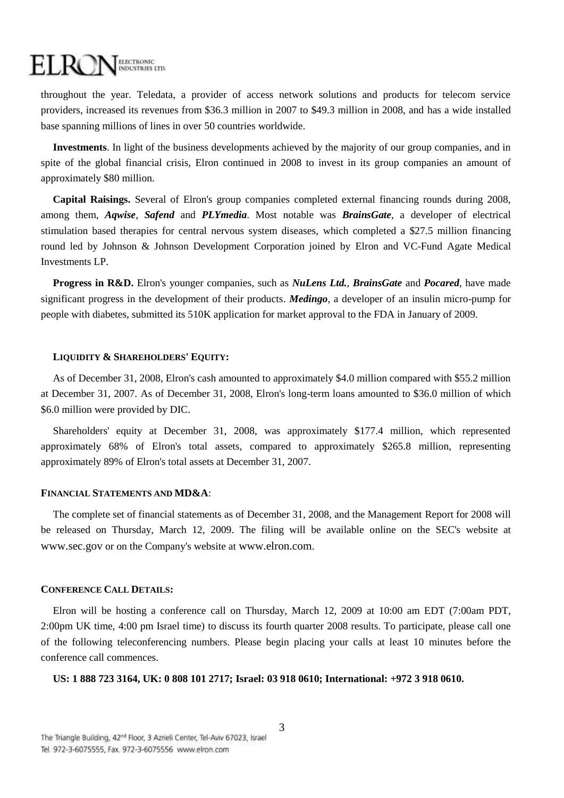## ELRC ELECTRONIC<br>INDUSTRIES LTD.

throughout the year. Teledata, a provider of access network solutions and products for telecom service providers, increased its revenues from \$36.3 million in 2007 to \$49.3 million in 2008, and has a wide installed base spanning millions of lines in over 50 countries worldwide.

**Investments**. In light of the business developments achieved by the majority of our group companies, and in spite of the global financial crisis, Elron continued in 2008 to invest in its group companies an amount of approximately \$80 million.

**Capital Raisings.** Several of Elron's group companies completed external financing rounds during 2008, among them, *Aqwise*, *Safend* and *PLYmedia*. Most notable was *BrainsGate*, a developer of electrical stimulation based therapies for central nervous system diseases, which completed a \$27.5 million financing round led by Johnson & Johnson Development Corporation joined by Elron and VC-Fund Agate Medical Investments LP.

**Progress in R&D.** Elron's younger companies, such as *NuLens Ltd.*, *BrainsGate* and *Pocared*, have made significant progress in the development of their products. *Medingo*, a developer of an insulin micro-pump for people with diabetes, submitted its 510K application for market approval to the FDA in January of 2009.

### **LIQUIDITY & SHAREHOLDERS' EQUITY:**

As of December 31, 2008, Elron's cash amounted to approximately \$4.0 million compared with \$55.2 million at December 31, 2007. As of December 31, 2008, Elron's long-term loans amounted to \$36.0 million of which \$6.0 million were provided by DIC.

Shareholders' equity at December 31, 2008, was approximately \$177.4 million, which represented approximately 68% of Elron's total assets, compared to approximately \$265.8 million, representing approximately 89% of Elron's total assets at December 31, 2007.

#### **FINANCIAL STATEMENTS AND MD&A**:

The complete set of financial statements as of December 31, 2008, and the Management Report for 2008 will be released on Thursday, March 12, 2009. The filing will be available online on the SEC's website at [www.sec.gov](http://www.sec.gov/) or on the Company's website at [www.elron.com](http://www.elron.com/).

#### **CONFERENCE CALL DETAILS:**

Elron will be hosting a conference call on Thursday, March 12, 2009 at 10:00 am EDT (7:00am PDT, 2:00pm UK time, 4:00 pm Israel time) to discuss its fourth quarter 2008 results. To participate, please call one of the following teleconferencing numbers. Please begin placing your calls at least 10 minutes before the conference call commences.

**US: 1 888 723 3164, UK: 0 808 101 2717; Israel: 03 918 0610; International: +972 3 918 0610.**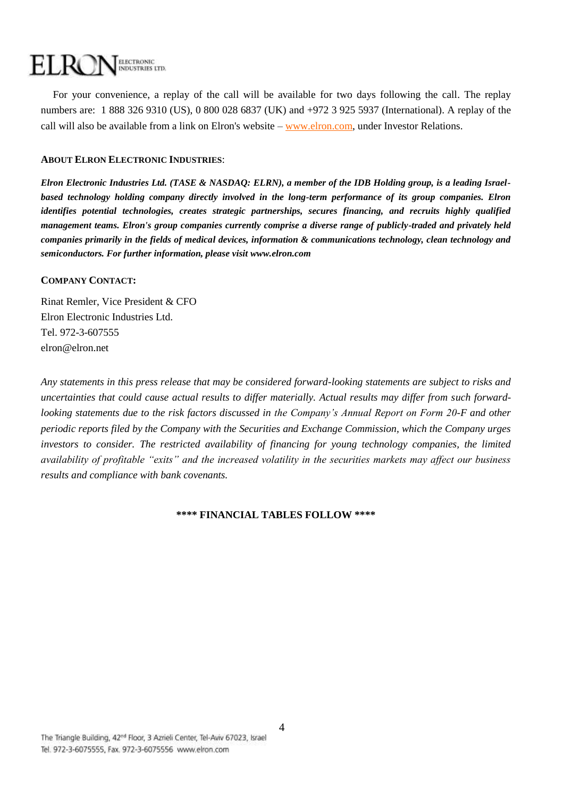#### EL RC **ELECTRONIC INDUSTRIES LTD.**

For your convenience, a replay of the call will be available for two days following the call. The replay numbers are: 1 888 326 9310 (US), 0 800 028 6837 (UK) and +972 3 925 5937 (International). A replay of the call will also be available from a link on Elron's website – [www.elron.com,](http://www.elron.com/) under Investor Relations.

## **ABOUT ELRON ELECTRONIC INDUSTRIES**:

*Elron Electronic Industries Ltd. (TASE & NASDAQ: ELRN), a member of the IDB Holding group, is a leading Israelbased technology holding company directly involved in the long-term performance of its group companies. Elron identifies potential technologies, creates strategic partnerships, secures financing, and recruits highly qualified management teams. Elron's group companies currently comprise a diverse range of publicly-traded and privately held companies primarily in the fields of medical devices, information & communications technology, clean technology and semiconductors. For further information, please visit [www.elron.com](http://www.elron.com/)*

## **COMPANY CONTACT:**

Rinat Remler, Vice President & CFO Elron Electronic Industries Ltd. Tel. 972-3-607555 elron@elron.net

*Any statements in this press release that may be considered forward-looking statements are subject to risks and uncertainties that could cause actual results to differ materially. Actual results may differ from such forwardlooking statements due to the risk factors discussed in the Company's Annual Report on Form 20-F and other periodic reports filed by the Company with the Securities and Exchange Commission, which the Company urges investors to consider. The restricted availability of financing for young technology companies, the limited availability of profitable "exits" and the increased volatility in the securities markets may affect our business results and compliance with bank covenants.* 

### **\*\*\*\* FINANCIAL TABLES FOLLOW \*\*\*\***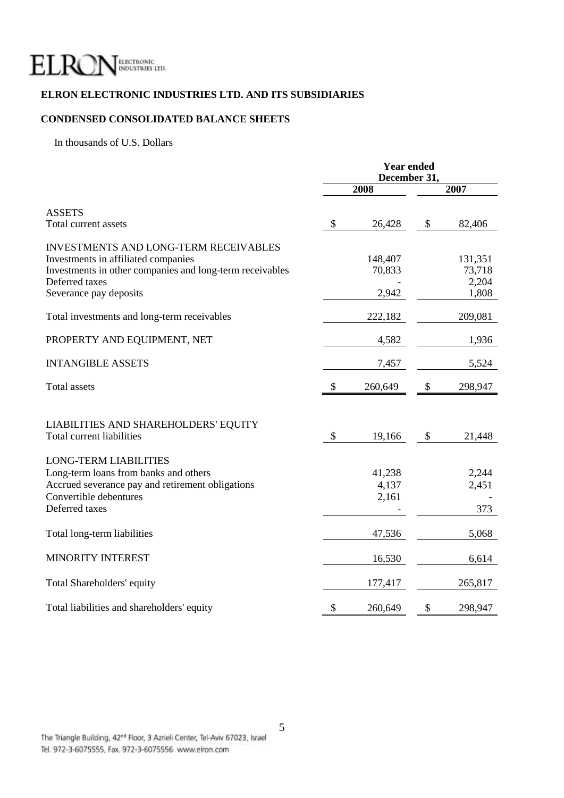

## **ELRON ELECTRONIC INDUSTRIES LTD. AND ITS SUBSIDIARIES**

## **CONDENSED CONSOLIDATED BALANCE SHEETS**

In thousands of U.S. Dollars

|                                                                                                                                                                                             | <b>Year ended</b><br>December 31, |                            |               |                                     |
|---------------------------------------------------------------------------------------------------------------------------------------------------------------------------------------------|-----------------------------------|----------------------------|---------------|-------------------------------------|
|                                                                                                                                                                                             |                                   | 2008                       |               | 2007                                |
| <b>ASSETS</b><br>Total current assets                                                                                                                                                       | \$                                | 26,428                     | \$            | 82,406                              |
| <b>INVESTMENTS AND LONG-TERM RECEIVABLES</b><br>Investments in affiliated companies<br>Investments in other companies and long-term receivables<br>Deferred taxes<br>Severance pay deposits |                                   | 148,407<br>70,833<br>2,942 |               | 131,351<br>73,718<br>2,204<br>1,808 |
| Total investments and long-term receivables                                                                                                                                                 |                                   | 222,182                    |               | 209,081                             |
| PROPERTY AND EQUIPMENT, NET                                                                                                                                                                 |                                   | 4,582                      |               | 1,936                               |
| <b>INTANGIBLE ASSETS</b>                                                                                                                                                                    |                                   | 7,457                      |               | 5,524                               |
| <b>Total assets</b>                                                                                                                                                                         | \$                                | 260,649                    | \$            | 298,947                             |
| LIABILITIES AND SHAREHOLDERS' EQUITY<br>Total current liabilities                                                                                                                           | \$                                | 19,166                     | $\mathcal{S}$ | 21,448                              |
| <b>LONG-TERM LIABILITIES</b><br>Long-term loans from banks and others<br>Accrued severance pay and retirement obligations<br>Convertible debentures<br>Deferred taxes                       |                                   | 41,238<br>4,137<br>2,161   |               | 2,244<br>2,451<br>373               |
| Total long-term liabilities                                                                                                                                                                 |                                   | 47,536                     |               | 5,068                               |
| <b>MINORITY INTEREST</b>                                                                                                                                                                    |                                   | 16,530                     |               | 6,614                               |
| Total Shareholders' equity                                                                                                                                                                  |                                   | 177,417                    |               | 265,817                             |
| Total liabilities and shareholders' equity                                                                                                                                                  | \$                                | 260,649                    | \$            | 298,947                             |

5